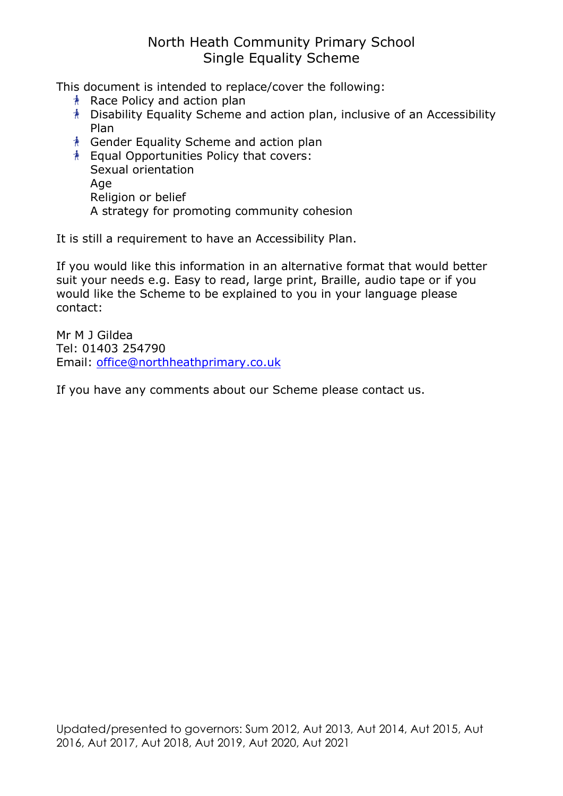# North Heath Community Primary School Single Equality Scheme

This document is intended to replace/cover the following:

- $*$  Race Policy and action plan
- Disability Equality Scheme and action plan, inclusive of an Accessibility Plan
- Gender Equality Scheme and action plan
- **Equal Opportunities Policy that covers:**  Sexual orientation Age Religion or belief A strategy for promoting community cohesion

It is still a requirement to have an Accessibility Plan.

If you would like this information in an alternative format that would better suit your needs e.g. Easy to read, large print, Braille, audio tape or if you would like the Scheme to be explained to you in your language please contact:

Mr M J Gildea Tel: 01403 254790 Email: office@northheathprimary.co.uk

If you have any comments about our Scheme please contact us.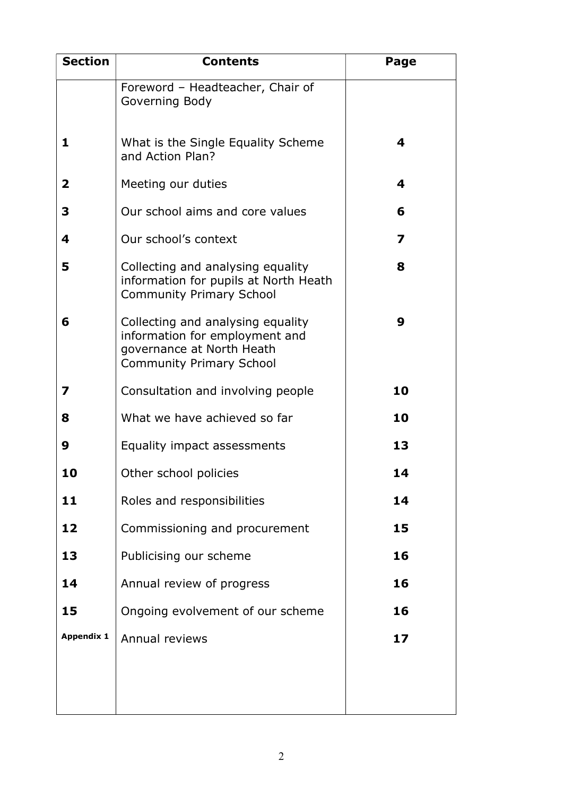| <b>Section</b>    | <b>Contents</b>                                                                                                                     | Page |
|-------------------|-------------------------------------------------------------------------------------------------------------------------------------|------|
|                   | Foreword - Headteacher, Chair of<br>Governing Body                                                                                  |      |
| 1                 | What is the Single Equality Scheme<br>and Action Plan?                                                                              | 4    |
| $\mathbf{2}$      | Meeting our duties                                                                                                                  | 4    |
| 3                 | Our school aims and core values                                                                                                     | 6    |
| 4                 | Our school's context                                                                                                                | 7    |
| 5                 | Collecting and analysing equality<br>information for pupils at North Heath<br><b>Community Primary School</b>                       | 8    |
| 6                 | Collecting and analysing equality<br>information for employment and<br>governance at North Heath<br><b>Community Primary School</b> | 9    |
| 7                 | Consultation and involving people                                                                                                   | 10   |
| 8                 | What we have achieved so far                                                                                                        | 10   |
| 9                 | Equality impact assessments                                                                                                         | 13   |
|                   | Other school policies                                                                                                               | 14   |
| 11                | Roles and responsibilities                                                                                                          | 14   |
| 12                | Commissioning and procurement                                                                                                       | 15   |
| 13                | Publicising our scheme                                                                                                              | 16   |
| 14                | Annual review of progress                                                                                                           | 16   |
| 15                | Ongoing evolvement of our scheme                                                                                                    | 16   |
| <b>Appendix 1</b> | Annual reviews                                                                                                                      | 17   |
|                   |                                                                                                                                     |      |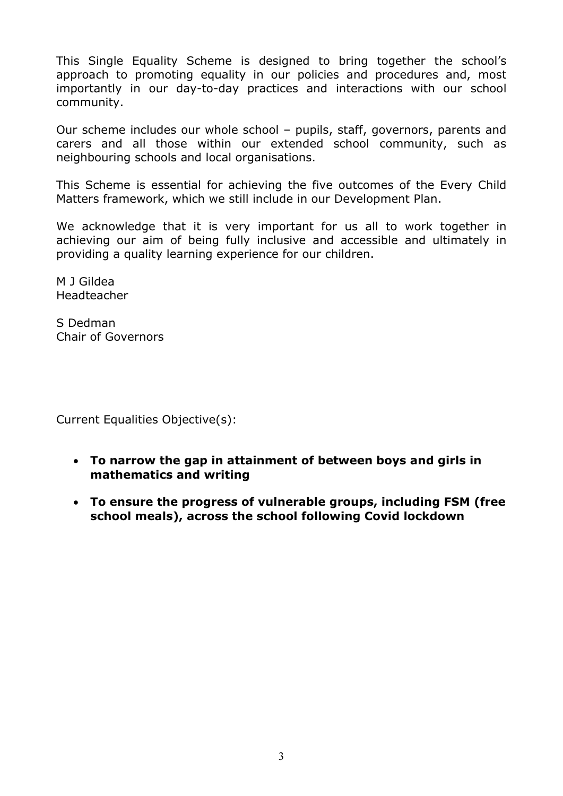This Single Equality Scheme is designed to bring together the school's approach to promoting equality in our policies and procedures and, most importantly in our day-to-day practices and interactions with our school community.

Our scheme includes our whole school – pupils, staff, governors, parents and carers and all those within our extended school community, such as neighbouring schools and local organisations.

This Scheme is essential for achieving the five outcomes of the Every Child Matters framework, which we still include in our Development Plan.

We acknowledge that it is very important for us all to work together in achieving our aim of being fully inclusive and accessible and ultimately in providing a quality learning experience for our children.

M J Gildea Headteacher

S Dedman Chair of Governors

Current Equalities Objective(s):

- To narrow the gap in attainment of between boys and girls in mathematics and writing
- To ensure the progress of vulnerable groups, including FSM (free school meals), across the school following Covid lockdown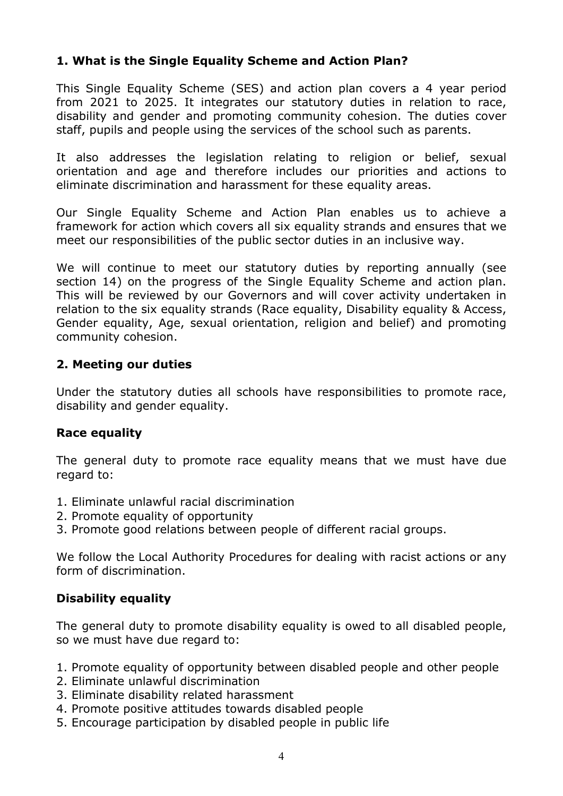## 1. What is the Single Equality Scheme and Action Plan?

This Single Equality Scheme (SES) and action plan covers a 4 year period from 2021 to 2025. It integrates our statutory duties in relation to race, disability and gender and promoting community cohesion. The duties cover staff, pupils and people using the services of the school such as parents.

It also addresses the legislation relating to religion or belief, sexual orientation and age and therefore includes our priorities and actions to eliminate discrimination and harassment for these equality areas.

Our Single Equality Scheme and Action Plan enables us to achieve a framework for action which covers all six equality strands and ensures that we meet our responsibilities of the public sector duties in an inclusive way.

We will continue to meet our statutory duties by reporting annually (see section 14) on the progress of the Single Equality Scheme and action plan. This will be reviewed by our Governors and will cover activity undertaken in relation to the six equality strands (Race equality, Disability equality & Access, Gender equality, Age, sexual orientation, religion and belief) and promoting community cohesion.

### 2. Meeting our duties

Under the statutory duties all schools have responsibilities to promote race, disability and gender equality.

#### Race equality

The general duty to promote race equality means that we must have due regard to:

- 1. Eliminate unlawful racial discrimination
- 2. Promote equality of opportunity
- 3. Promote good relations between people of different racial groups.

We follow the Local Authority Procedures for dealing with racist actions or any form of discrimination.

#### Disability equality

The general duty to promote disability equality is owed to all disabled people, so we must have due regard to:

- 1. Promote equality of opportunity between disabled people and other people
- 2. Eliminate unlawful discrimination
- 3. Eliminate disability related harassment
- 4. Promote positive attitudes towards disabled people
- 5. Encourage participation by disabled people in public life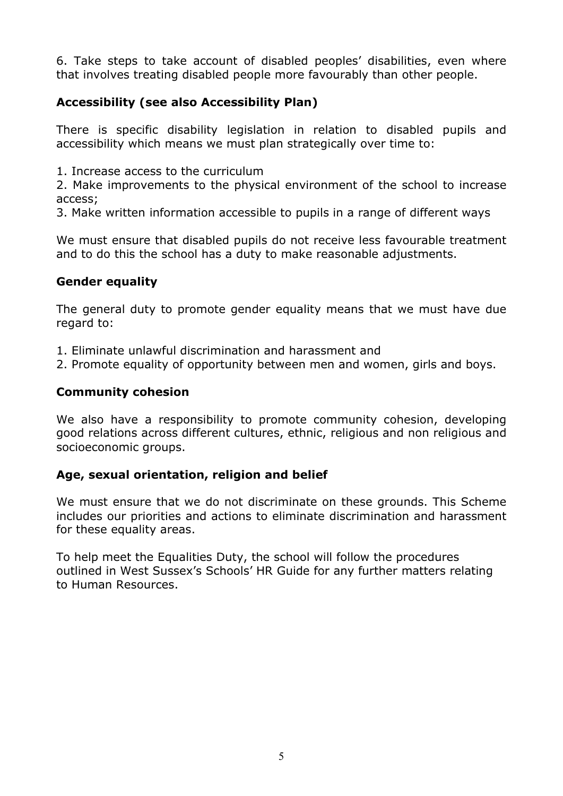6. Take steps to take account of disabled peoples' disabilities, even where that involves treating disabled people more favourably than other people.

## Accessibility (see also Accessibility Plan)

There is specific disability legislation in relation to disabled pupils and accessibility which means we must plan strategically over time to:

1. Increase access to the curriculum

2. Make improvements to the physical environment of the school to increase access;

3. Make written information accessible to pupils in a range of different ways

We must ensure that disabled pupils do not receive less favourable treatment and to do this the school has a duty to make reasonable adjustments.

## Gender equality

The general duty to promote gender equality means that we must have due regard to:

- 1. Eliminate unlawful discrimination and harassment and
- 2. Promote equality of opportunity between men and women, girls and boys.

### Community cohesion

We also have a responsibility to promote community cohesion, developing good relations across different cultures, ethnic, religious and non religious and socioeconomic groups.

## Age, sexual orientation, religion and belief

We must ensure that we do not discriminate on these grounds. This Scheme includes our priorities and actions to eliminate discrimination and harassment for these equality areas.

To help meet the Equalities Duty, the school will follow the procedures outlined in West Sussex's Schools' HR Guide for any further matters relating to Human Resources.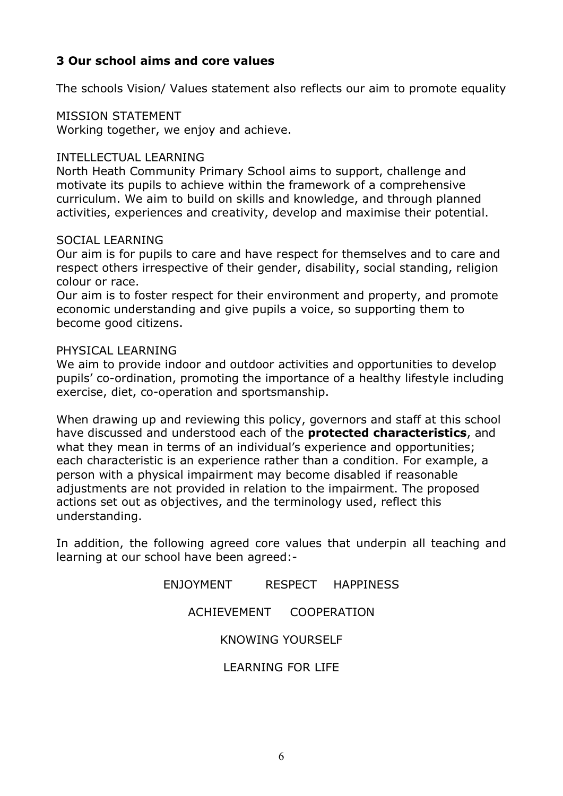## 3 Our school aims and core values

The schools Vision/ Values statement also reflects our aim to promote equality

#### MISSION STATEMENT

Working together, we enjoy and achieve.

#### INTELLECTUAL LEARNING

North Heath Community Primary School aims to support, challenge and motivate its pupils to achieve within the framework of a comprehensive curriculum. We aim to build on skills and knowledge, and through planned activities, experiences and creativity, develop and maximise their potential.

#### SOCIAL LEARNING

Our aim is for pupils to care and have respect for themselves and to care and respect others irrespective of their gender, disability, social standing, religion colour or race.

Our aim is to foster respect for their environment and property, and promote economic understanding and give pupils a voice, so supporting them to become good citizens.

#### PHYSICAL LEARNING

We aim to provide indoor and outdoor activities and opportunities to develop pupils' co-ordination, promoting the importance of a healthy lifestyle including exercise, diet, co-operation and sportsmanship.

When drawing up and reviewing this policy, governors and staff at this school have discussed and understood each of the **protected characteristics**, and what they mean in terms of an individual's experience and opportunities; each characteristic is an experience rather than a condition. For example, a person with a physical impairment may become disabled if reasonable adjustments are not provided in relation to the impairment. The proposed actions set out as objectives, and the terminology used, reflect this understanding.

In addition, the following agreed core values that underpin all teaching and learning at our school have been agreed:-

> ENJOYMENT RESPECT HAPPINESS ACHIEVEMENT COOPERATION KNOWING YOURSELF LEARNING FOR LIFE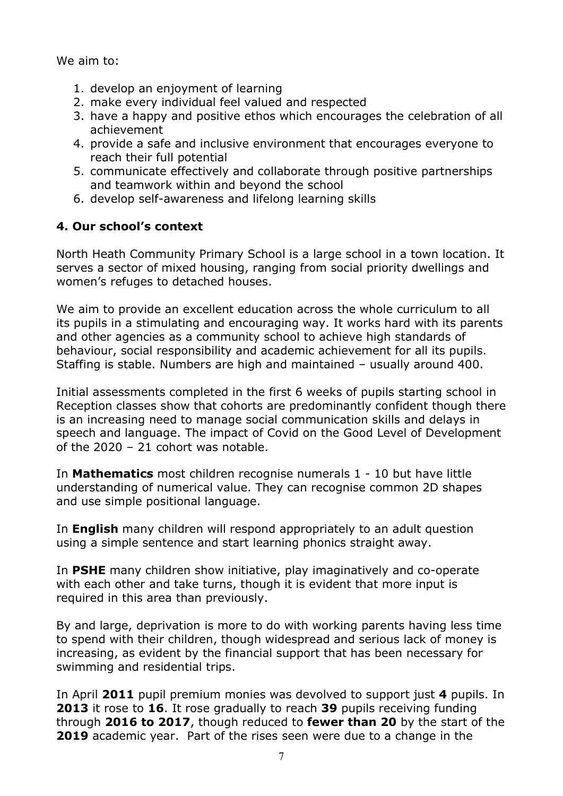We aim to:

- 1. develop an enjoyment of learning
- 2. make every individual feel valued and respected
- 3. have a happy and positive ethos which encourages the celebration of all achievement
- 4. provide a safe and inclusive environment that encourages everyone to reach their full potential
- 5. communicate effectively and collaborate through positive partnerships and teamwork within and beyond the school
- 6. develop self-awareness and lifelong learning skills

## 4. Our school's context

North Heath Community Primary School is a large school in a town location. It serves a sector of mixed housing, ranging from social priority dwellings and women's refuges to detached houses.

We aim to provide an excellent education across the whole curriculum to all its pupils in a stimulating and encouraging way. It works hard with its parents and other agencies as a community school to achieve high standards of behaviour, social responsibility and academic achievement for all its pupils. Staffing is stable. Numbers are high and maintained – usually around 400.

Initial assessments completed in the first 6 weeks of pupils starting school in Reception classes show that cohorts are predominantly confident though there is an increasing need to manage social communication skills and delays in speech and language. The impact of Covid on the Good Level of Development of the 2020 – 21 cohort was notable.

In **Mathematics** most children recognise numerals 1 - 10 but have little understanding of numerical value. They can recognise common 2D shapes and use simple positional language.

In **English** many children will respond appropriately to an adult question using a simple sentence and start learning phonics straight away.

In PSHE many children show initiative, play imaginatively and co-operate with each other and take turns, though it is evident that more input is required in this area than previously.

By and large, deprivation is more to do with working parents having less time to spend with their children, though widespread and serious lack of money is increasing, as evident by the financial support that has been necessary for swimming and residential trips.

In April 2011 pupil premium monies was devolved to support just 4 pupils. In 2013 it rose to 16. It rose gradually to reach 39 pupils receiving funding through 2016 to 2017, though reduced to fewer than 20 by the start of the 2019 academic year. Part of the rises seen were due to a change in the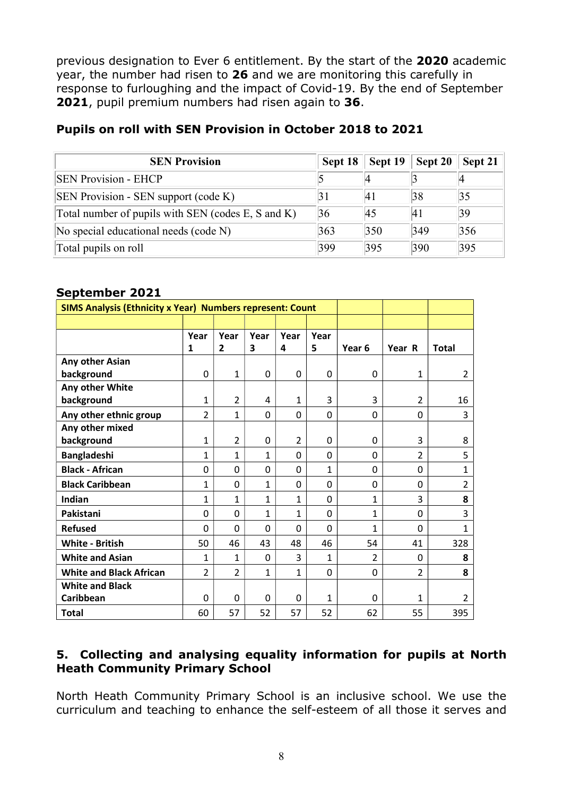previous designation to Ever 6 entitlement. By the start of the 2020 academic year, the number had risen to 26 and we are monitoring this carefully in response to furloughing and the impact of Covid-19. By the end of September 2021, pupil premium numbers had risen again to 36.

| <b>SEN Provision</b>                               | Sept 18 | Sept 19       | Sept 20 | Sept 21 |
|----------------------------------------------------|---------|---------------|---------|---------|
| <b>SEN Provision - EHCP</b>                        |         |               |         |         |
| SEN Provision - SEN support (code K)               |         | 41            | 38      | 35      |
| Total number of pupils with SEN (codes E, S and K) | 36      | 45            | 41      | 39      |
| No special educational needs (code N)              | 363     | $ 350\rangle$ | 349     | 356     |
| Total pupils on roll                               | 399     | 395           | 390     | 395     |

## Pupils on roll with SEN Provision in October 2018 to 2021

### September 2021

| <b>SIMS Analysis (Ethnicity x Year) Numbers represent: Count</b> |                |                |              |              |              |                |                |                |
|------------------------------------------------------------------|----------------|----------------|--------------|--------------|--------------|----------------|----------------|----------------|
|                                                                  |                |                |              |              |              |                |                |                |
|                                                                  | Year           | Year           | Year         | Year         | Year         |                |                |                |
|                                                                  | 1              | $\overline{2}$ | 3            | 4            | 5            | Year 6         | Year R         | <b>Total</b>   |
| Any other Asian                                                  |                |                |              |              |              |                |                |                |
| background                                                       | 0              | 1              | 0            | 0            | 0            | 0              | 1              | 2              |
| Any other White                                                  |                |                |              |              |              |                |                |                |
| background                                                       | 1              | $\overline{2}$ | 4            | 1            | 3            | 3              | $\overline{2}$ | 16             |
| Any other ethnic group                                           | $\overline{2}$ | 1              | 0            | 0            | 0            | 0              | 0              | 3              |
| Any other mixed                                                  |                |                |              |              |              |                |                |                |
| background                                                       | 1              | $\overline{2}$ | 0            | 2            | 0            | 0              | 3              | 8              |
| <b>Bangladeshi</b>                                               | 1              | 1              | 1            | $\Omega$     | 0            | 0              | $\overline{2}$ | 5              |
| <b>Black - African</b>                                           | 0              | 0              | 0            | 0            | $\mathbf{1}$ | 0              | 0              | $\mathbf{1}$   |
| <b>Black Caribbean</b>                                           | $\mathbf{1}$   | 0              | $\mathbf{1}$ | 0            | $\mathbf 0$  | 0              | 0              | $\overline{2}$ |
| Indian                                                           | $\mathbf{1}$   | $\mathbf{1}$   | $\mathbf{1}$ | $\mathbf{1}$ | 0            | $\mathbf{1}$   | 3              | 8              |
| Pakistani                                                        | 0              | $\mathbf 0$    | $\mathbf{1}$ | $\mathbf{1}$ | $\mathbf 0$  | $\mathbf{1}$   | 0              | 3              |
| <b>Refused</b>                                                   | 0              | 0              | 0            | $\Omega$     | $\Omega$     | $\mathbf{1}$   | 0              | $\mathbf{1}$   |
| <b>White - British</b>                                           | 50             | 46             | 43           | 48           | 46           | 54             | 41             | 328            |
| <b>White and Asian</b>                                           | 1              | 1              | 0            | 3            | $\mathbf{1}$ | $\overline{2}$ | 0              | 8              |
| <b>White and Black African</b>                                   | $\overline{2}$ | $\overline{2}$ | $\mathbf{1}$ | $\mathbf{1}$ | 0            | 0              | $\overline{2}$ | 8              |
| <b>White and Black</b>                                           |                |                |              |              |              |                |                |                |
| Caribbean                                                        | 0              | $\mathbf{0}$   | 0            | 0            | 1            | 0              | 1              | 2              |
| <b>Total</b>                                                     | 60             | 57             | 52           | 57           | 52           | 62             | 55             | 395            |

### 5. Collecting and analysing equality information for pupils at North Heath Community Primary School

North Heath Community Primary School is an inclusive school. We use the curriculum and teaching to enhance the self-esteem of all those it serves and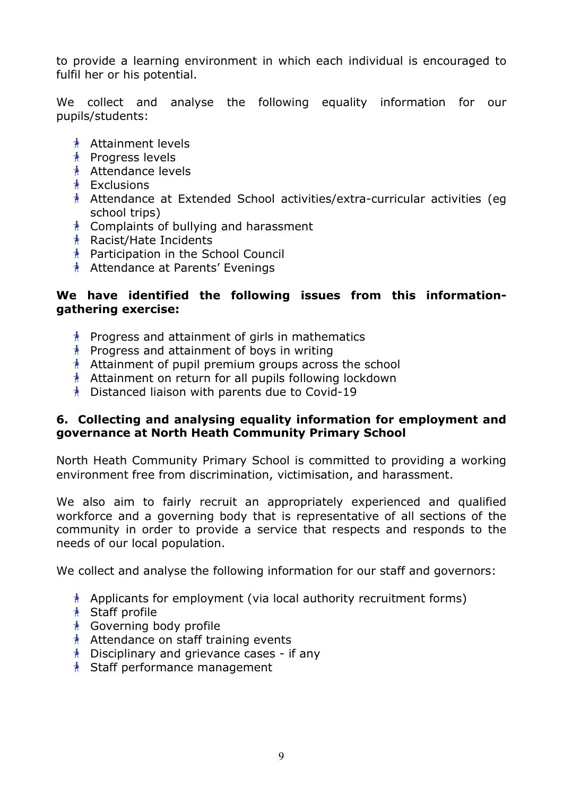to provide a learning environment in which each individual is encouraged to fulfil her or his potential.

We collect and analyse the following equality information for our pupils/students:

- **Attainment levels**
- <u>**A**</u> Progress levels
- Attendance levels
- **A** Exclusions
- Attendance at Extended School activities/extra-curricular activities (eg school trips)
- $*$  Complaints of bullying and harassment
- Racist/Hate Incidents
- Participation in the School Council
- Attendance at Parents' Evenings

## We have identified the following issues from this informationgathering exercise:

- $*$  Progress and attainment of girls in mathematics
- $*$  Progress and attainment of boys in writing
- Attainment of pupil premium groups across the school
- Attainment on return for all pupils following lockdown
- Distanced liaison with parents due to Covid-19

### 6. Collecting and analysing equality information for employment and governance at North Heath Community Primary School

North Heath Community Primary School is committed to providing a working environment free from discrimination, victimisation, and harassment.

We also aim to fairly recruit an appropriately experienced and qualified workforce and a governing body that is representative of all sections of the community in order to provide a service that respects and responds to the needs of our local population.

We collect and analyse the following information for our staff and governors:

- $\Lambda$  Applicants for employment (via local authority recruitment forms)
- **A** Staff profile
- Governing body profile
- $*$  Attendance on staff training events
- $*$  Disciplinary and grievance cases if any
- Staff performance management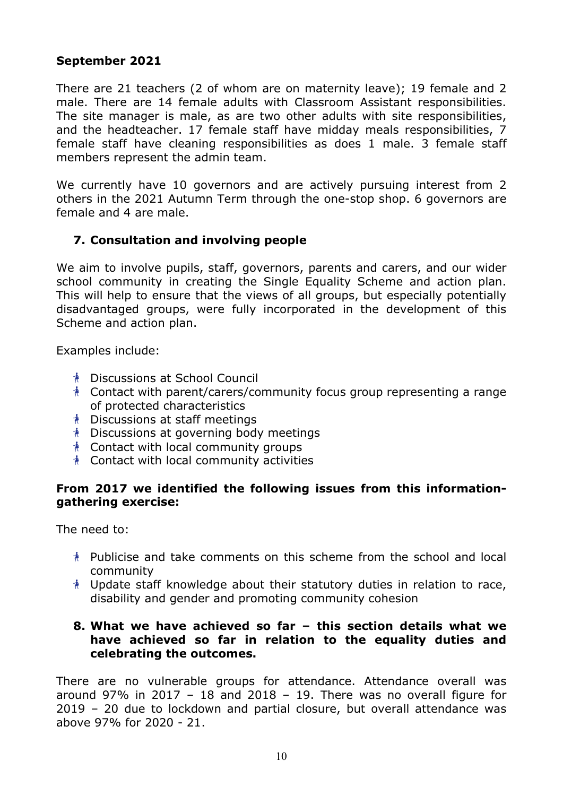### September 2021

There are 21 teachers (2 of whom are on maternity leave); 19 female and 2 male. There are 14 female adults with Classroom Assistant responsibilities. The site manager is male, as are two other adults with site responsibilities, and the headteacher. 17 female staff have midday meals responsibilities, 7 female staff have cleaning responsibilities as does 1 male. 3 female staff members represent the admin team.

We currently have 10 governors and are actively pursuing interest from 2 others in the 2021 Autumn Term through the one-stop shop. 6 governors are female and 4 are male.

## 7. Consultation and involving people

We aim to involve pupils, staff, governors, parents and carers, and our wider school community in creating the Single Equality Scheme and action plan. This will help to ensure that the views of all groups, but especially potentially disadvantaged groups, were fully incorporated in the development of this Scheme and action plan.

Examples include:

- Discussions at School Council
- $\Lambda$  Contact with parent/carers/community focus group representing a range of protected characteristics
- Discussions at staff meetings
- $\Lambda$  Discussions at governing body meetings
- Contact with local community groups
- Contact with local community activities

#### From 2017 we identified the following issues from this informationgathering exercise:

The need to:

- $*$  Publicise and take comments on this scheme from the school and local community
- $*$  Update staff knowledge about their statutory duties in relation to race, disability and gender and promoting community cohesion

### 8. What we have achieved so far – this section details what we have achieved so far in relation to the equality duties and celebrating the outcomes.

There are no vulnerable groups for attendance. Attendance overall was around 97% in 2017 – 18 and 2018 – 19. There was no overall figure for 2019 – 20 due to lockdown and partial closure, but overall attendance was above 97% for 2020 - 21.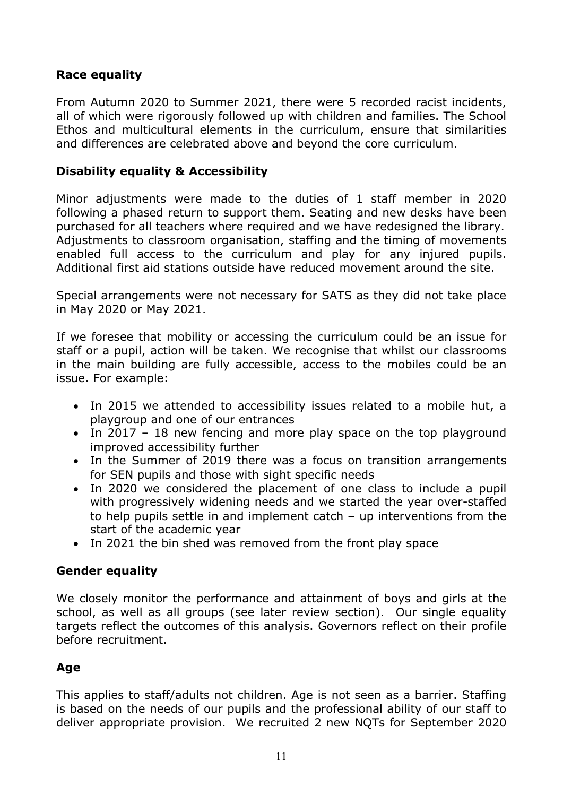## Race equality

From Autumn 2020 to Summer 2021, there were 5 recorded racist incidents, all of which were rigorously followed up with children and families. The School Ethos and multicultural elements in the curriculum, ensure that similarities and differences are celebrated above and beyond the core curriculum.

#### Disability equality & Accessibility

Minor adjustments were made to the duties of 1 staff member in 2020 following a phased return to support them. Seating and new desks have been purchased for all teachers where required and we have redesigned the library. Adjustments to classroom organisation, staffing and the timing of movements enabled full access to the curriculum and play for any injured pupils. Additional first aid stations outside have reduced movement around the site.

Special arrangements were not necessary for SATS as they did not take place in May 2020 or May 2021.

If we foresee that mobility or accessing the curriculum could be an issue for staff or a pupil, action will be taken. We recognise that whilst our classrooms in the main building are fully accessible, access to the mobiles could be an issue. For example:

- In 2015 we attended to accessibility issues related to a mobile hut, a playgroup and one of our entrances
- In 2017 18 new fencing and more play space on the top playground improved accessibility further
- In the Summer of 2019 there was a focus on transition arrangements for SEN pupils and those with sight specific needs
- In 2020 we considered the placement of one class to include a pupil with progressively widening needs and we started the year over-staffed to help pupils settle in and implement catch – up interventions from the start of the academic year
- In 2021 the bin shed was removed from the front play space

#### Gender equality

We closely monitor the performance and attainment of boys and girls at the school, as well as all groups (see later review section). Our single equality targets reflect the outcomes of this analysis. Governors reflect on their profile before recruitment.

## Age

This applies to staff/adults not children. Age is not seen as a barrier. Staffing is based on the needs of our pupils and the professional ability of our staff to deliver appropriate provision. We recruited 2 new NQTs for September 2020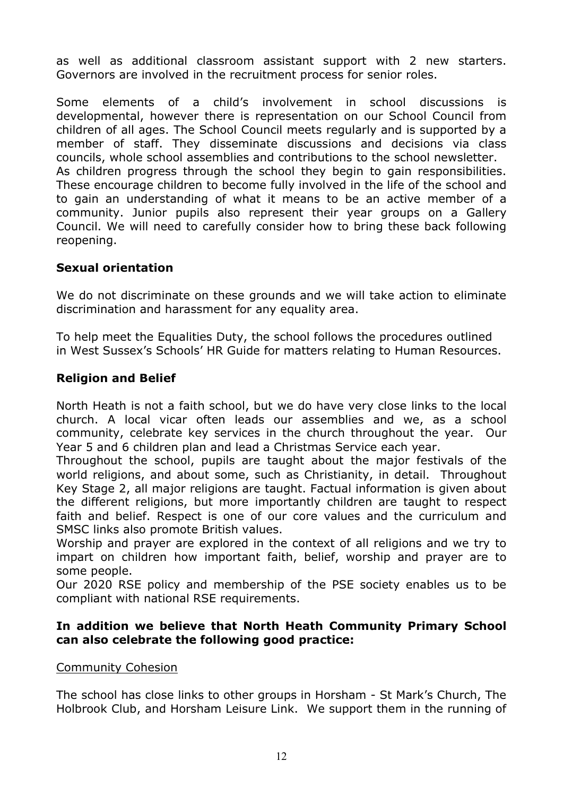as well as additional classroom assistant support with 2 new starters. Governors are involved in the recruitment process for senior roles.

Some elements of a child's involvement in school discussions is developmental, however there is representation on our School Council from children of all ages. The School Council meets regularly and is supported by a member of staff. They disseminate discussions and decisions via class councils, whole school assemblies and contributions to the school newsletter. As children progress through the school they begin to gain responsibilities. These encourage children to become fully involved in the life of the school and to gain an understanding of what it means to be an active member of a community. Junior pupils also represent their year groups on a Gallery Council. We will need to carefully consider how to bring these back following reopening.

### Sexual orientation

We do not discriminate on these grounds and we will take action to eliminate discrimination and harassment for any equality area.

To help meet the Equalities Duty, the school follows the procedures outlined in West Sussex's Schools' HR Guide for matters relating to Human Resources.

### Religion and Belief

North Heath is not a faith school, but we do have very close links to the local church. A local vicar often leads our assemblies and we, as a school community, celebrate key services in the church throughout the year. Our Year 5 and 6 children plan and lead a Christmas Service each year.

Throughout the school, pupils are taught about the major festivals of the world religions, and about some, such as Christianity, in detail. Throughout Key Stage 2, all major religions are taught. Factual information is given about the different religions, but more importantly children are taught to respect faith and belief. Respect is one of our core values and the curriculum and SMSC links also promote British values.

Worship and prayer are explored in the context of all religions and we try to impart on children how important faith, belief, worship and prayer are to some people.

Our 2020 RSE policy and membership of the PSE society enables us to be compliant with national RSE requirements.

### In addition we believe that North Heath Community Primary School can also celebrate the following good practice:

#### Community Cohesion

The school has close links to other groups in Horsham - St Mark's Church, The Holbrook Club, and Horsham Leisure Link. We support them in the running of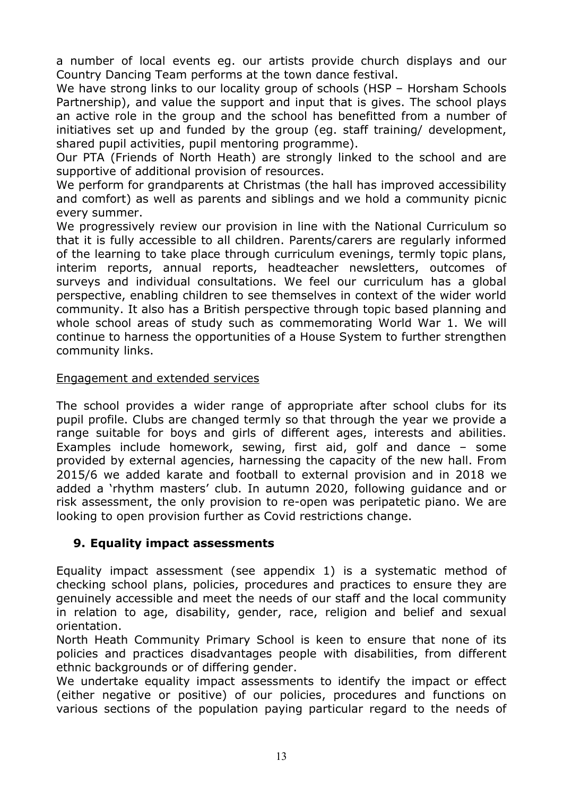a number of local events eg. our artists provide church displays and our Country Dancing Team performs at the town dance festival.

We have strong links to our locality group of schools (HSP - Horsham Schools Partnership), and value the support and input that is gives. The school plays an active role in the group and the school has benefitted from a number of initiatives set up and funded by the group (eg. staff training/ development, shared pupil activities, pupil mentoring programme).

Our PTA (Friends of North Heath) are strongly linked to the school and are supportive of additional provision of resources.

We perform for grandparents at Christmas (the hall has improved accessibility and comfort) as well as parents and siblings and we hold a community picnic every summer.

We progressively review our provision in line with the National Curriculum so that it is fully accessible to all children. Parents/carers are regularly informed of the learning to take place through curriculum evenings, termly topic plans, interim reports, annual reports, headteacher newsletters, outcomes of surveys and individual consultations. We feel our curriculum has a global perspective, enabling children to see themselves in context of the wider world community. It also has a British perspective through topic based planning and whole school areas of study such as commemorating World War 1. We will continue to harness the opportunities of a House System to further strengthen community links.

#### Engagement and extended services

The school provides a wider range of appropriate after school clubs for its pupil profile. Clubs are changed termly so that through the year we provide a range suitable for boys and girls of different ages, interests and abilities. Examples include homework, sewing, first aid, golf and dance – some provided by external agencies, harnessing the capacity of the new hall. From 2015/6 we added karate and football to external provision and in 2018 we added a 'rhythm masters' club. In autumn 2020, following guidance and or risk assessment, the only provision to re-open was peripatetic piano. We are looking to open provision further as Covid restrictions change.

## 9. Equality impact assessments

Equality impact assessment (see appendix 1) is a systematic method of checking school plans, policies, procedures and practices to ensure they are genuinely accessible and meet the needs of our staff and the local community in relation to age, disability, gender, race, religion and belief and sexual orientation.

North Heath Community Primary School is keen to ensure that none of its policies and practices disadvantages people with disabilities, from different ethnic backgrounds or of differing gender.

We undertake equality impact assessments to identify the impact or effect (either negative or positive) of our policies, procedures and functions on various sections of the population paying particular regard to the needs of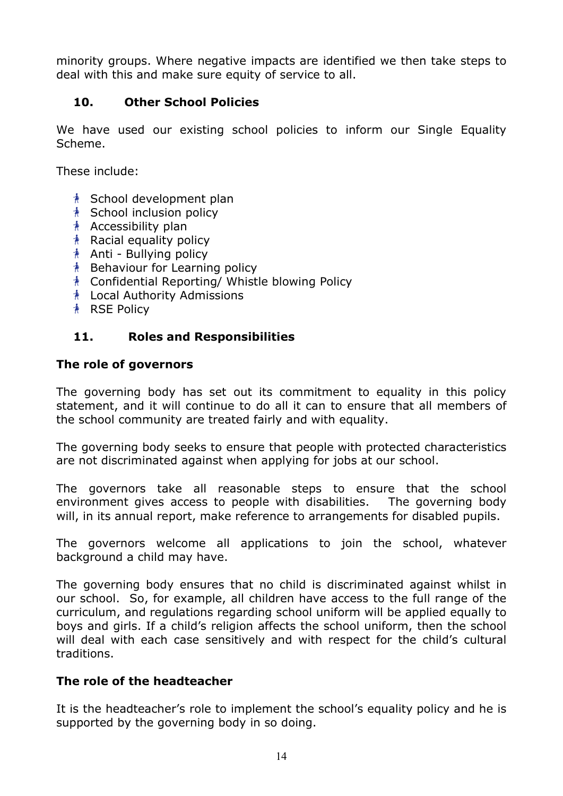minority groups. Where negative impacts are identified we then take steps to deal with this and make sure equity of service to all.

## 10. Other School Policies

We have used our existing school policies to inform our Single Equality Scheme.

These include:

- **A** School development plan
- **A** School inclusion policy
- $*$  Accessibility plan
- $*$  Racial equality policy
- $*$  Anti Bullying policy
- $\Lambda$  Behaviour for Learning policy
- Confidential Reporting/ Whistle blowing Policy
- Local Authority Admissions
- **A** RSE Policy

## 11. Roles and Responsibilities

#### The role of governors

The governing body has set out its commitment to equality in this policy statement, and it will continue to do all it can to ensure that all members of the school community are treated fairly and with equality.

The governing body seeks to ensure that people with protected characteristics are not discriminated against when applying for jobs at our school.

The governors take all reasonable steps to ensure that the school environment gives access to people with disabilities. The governing body will, in its annual report, make reference to arrangements for disabled pupils.

The governors welcome all applications to join the school, whatever background a child may have.

The governing body ensures that no child is discriminated against whilst in our school. So, for example, all children have access to the full range of the curriculum, and regulations regarding school uniform will be applied equally to boys and girls. If a child's religion affects the school uniform, then the school will deal with each case sensitively and with respect for the child's cultural traditions.

## The role of the headteacher

It is the headteacher's role to implement the school's equality policy and he is supported by the governing body in so doing.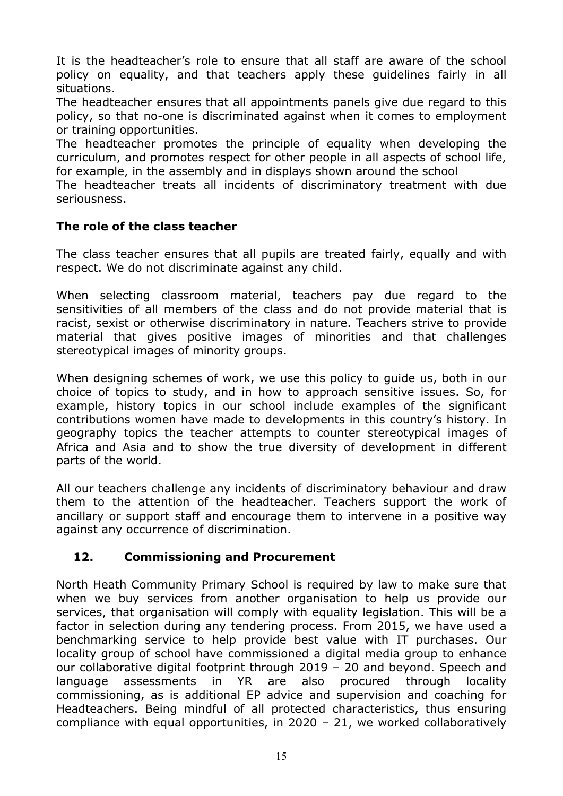It is the headteacher's role to ensure that all staff are aware of the school policy on equality, and that teachers apply these guidelines fairly in all situations.

The headteacher ensures that all appointments panels give due regard to this policy, so that no-one is discriminated against when it comes to employment or training opportunities.

The headteacher promotes the principle of equality when developing the curriculum, and promotes respect for other people in all aspects of school life, for example, in the assembly and in displays shown around the school

 The headteacher treats all incidents of discriminatory treatment with due seriousness.

## The role of the class teacher

The class teacher ensures that all pupils are treated fairly, equally and with respect. We do not discriminate against any child.

When selecting classroom material, teachers pay due regard to the sensitivities of all members of the class and do not provide material that is racist, sexist or otherwise discriminatory in nature. Teachers strive to provide material that gives positive images of minorities and that challenges stereotypical images of minority groups.

When designing schemes of work, we use this policy to guide us, both in our choice of topics to study, and in how to approach sensitive issues. So, for example, history topics in our school include examples of the significant contributions women have made to developments in this country's history. In geography topics the teacher attempts to counter stereotypical images of Africa and Asia and to show the true diversity of development in different parts of the world.

All our teachers challenge any incidents of discriminatory behaviour and draw them to the attention of the headteacher. Teachers support the work of ancillary or support staff and encourage them to intervene in a positive way against any occurrence of discrimination.

## 12. Commissioning and Procurement

North Heath Community Primary School is required by law to make sure that when we buy services from another organisation to help us provide our services, that organisation will comply with equality legislation. This will be a factor in selection during any tendering process. From 2015, we have used a benchmarking service to help provide best value with IT purchases. Our locality group of school have commissioned a digital media group to enhance our collaborative digital footprint through 2019 – 20 and beyond. Speech and language assessments in YR are also procured through locality commissioning, as is additional EP advice and supervision and coaching for Headteachers. Being mindful of all protected characteristics, thus ensuring compliance with equal opportunities, in 2020 – 21, we worked collaboratively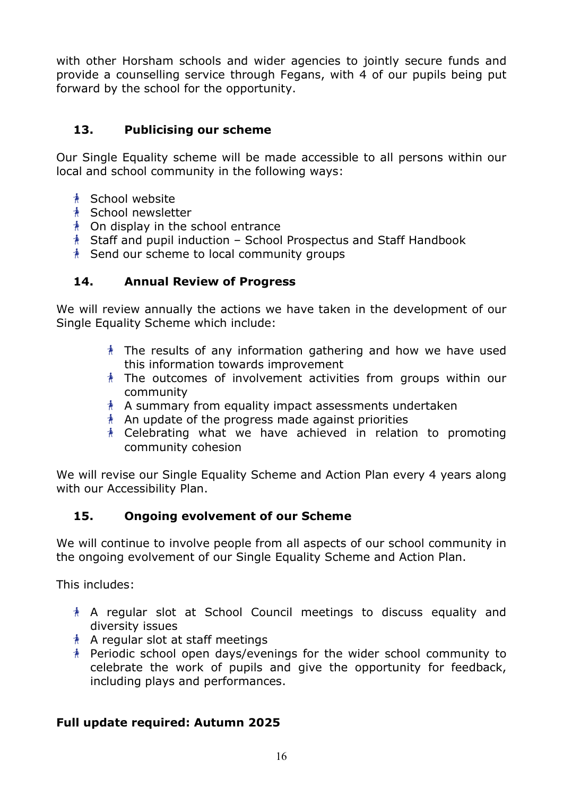with other Horsham schools and wider agencies to jointly secure funds and provide a counselling service through Fegans, with 4 of our pupils being put forward by the school for the opportunity.

## 13. Publicising our scheme

Our Single Equality scheme will be made accessible to all persons within our local and school community in the following ways:

- **A** School website
- <u>**A**</u> School newsletter
- $\lambda$  On display in the school entrance
- $*$  Staff and pupil induction School Prospectus and Staff Handbook
- $*$  Send our scheme to local community groups

## 14. Annual Review of Progress

We will review annually the actions we have taken in the development of our Single Equality Scheme which include:

- $*$  The results of any information gathering and how we have used this information towards improvement
- $*$  The outcomes of involvement activities from groups within our community
- $*$  A summary from equality impact assessments undertaken
- $*$  An update of the progress made against priorities
- $*$  Celebrating what we have achieved in relation to promoting community cohesion

We will revise our Single Equality Scheme and Action Plan every 4 years along with our Accessibility Plan.

## 15. Ongoing evolvement of our Scheme

We will continue to involve people from all aspects of our school community in the ongoing evolvement of our Single Equality Scheme and Action Plan.

This includes:

- $*$  A regular slot at School Council meetings to discuss equality and diversity issues
- $*$  A regular slot at staff meetings
- Periodic school open days/evenings for the wider school community to celebrate the work of pupils and give the opportunity for feedback, including plays and performances.

## Full update required: Autumn 2025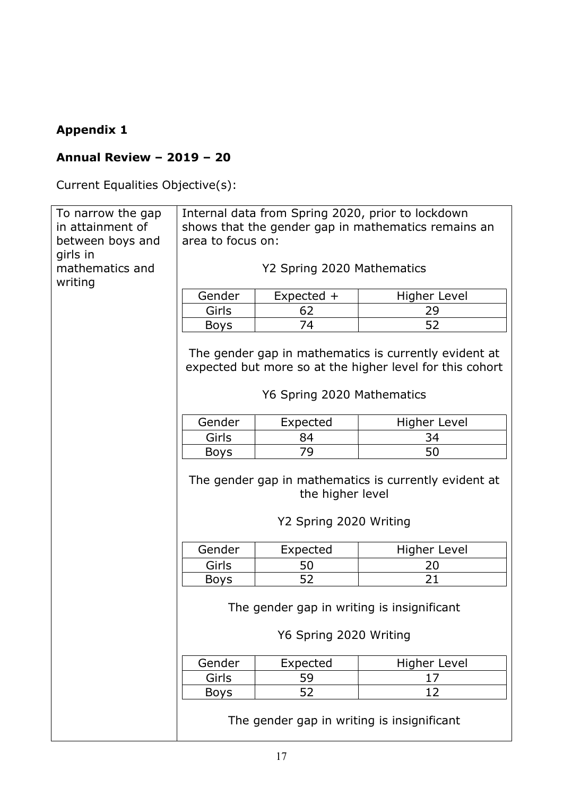# Appendix 1

# Annual Review – 2019 – 20

Current Equalities Objective(s):

| To narrow the gap<br>in attainment of<br>between boys and | Internal data from Spring 2020, prior to lockdown<br>shows that the gender gap in mathematics remains an<br>area to focus on: |                                            |                                                                                                                   |  |  |  |
|-----------------------------------------------------------|-------------------------------------------------------------------------------------------------------------------------------|--------------------------------------------|-------------------------------------------------------------------------------------------------------------------|--|--|--|
|                                                           |                                                                                                                               |                                            |                                                                                                                   |  |  |  |
| girls in<br>mathematics and<br>writing                    | Y2 Spring 2020 Mathematics                                                                                                    |                                            |                                                                                                                   |  |  |  |
|                                                           | Gender<br>Expected +<br><b>Higher Level</b>                                                                                   |                                            |                                                                                                                   |  |  |  |
|                                                           | Girls                                                                                                                         | 62                                         | 29                                                                                                                |  |  |  |
|                                                           | <b>Boys</b>                                                                                                                   | 74                                         | 52                                                                                                                |  |  |  |
|                                                           |                                                                                                                               |                                            |                                                                                                                   |  |  |  |
|                                                           |                                                                                                                               |                                            | The gender gap in mathematics is currently evident at<br>expected but more so at the higher level for this cohort |  |  |  |
|                                                           |                                                                                                                               | Y6 Spring 2020 Mathematics                 |                                                                                                                   |  |  |  |
|                                                           | Gender                                                                                                                        | Expected                                   | Higher Level                                                                                                      |  |  |  |
|                                                           | Girls                                                                                                                         | 84                                         | 34                                                                                                                |  |  |  |
|                                                           | <b>Boys</b>                                                                                                                   | 79                                         | 50                                                                                                                |  |  |  |
|                                                           | The gender gap in mathematics is currently evident at<br>the higher level<br>Y2 Spring 2020 Writing                           |                                            |                                                                                                                   |  |  |  |
|                                                           | Gender                                                                                                                        | Expected                                   | <b>Higher Level</b>                                                                                               |  |  |  |
|                                                           | Girls                                                                                                                         | 50                                         | 20                                                                                                                |  |  |  |
|                                                           | <b>Boys</b>                                                                                                                   | 52                                         | 21                                                                                                                |  |  |  |
|                                                           |                                                                                                                               |                                            |                                                                                                                   |  |  |  |
|                                                           | The gender gap in writing is insignificant                                                                                    |                                            |                                                                                                                   |  |  |  |
|                                                           | Y6 Spring 2020 Writing                                                                                                        |                                            |                                                                                                                   |  |  |  |
|                                                           | Gender                                                                                                                        | Expected                                   | <b>Higher Level</b>                                                                                               |  |  |  |
|                                                           | Girls<br>59<br>17                                                                                                             |                                            |                                                                                                                   |  |  |  |
|                                                           | 52<br>12<br><b>Boys</b>                                                                                                       |                                            |                                                                                                                   |  |  |  |
|                                                           |                                                                                                                               | The gender gap in writing is insignificant |                                                                                                                   |  |  |  |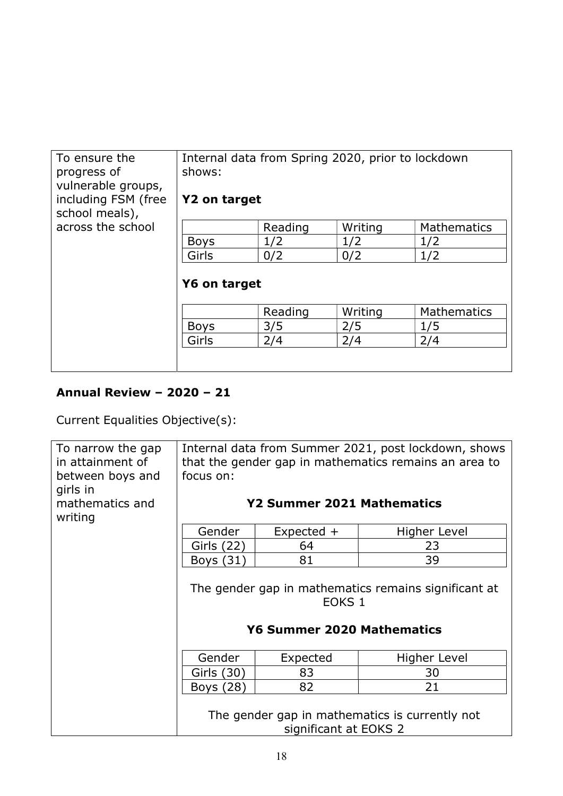| To ensure the<br>progress of<br>vulnerable groups,<br>including FSM (free<br>school meals), | Internal data from Spring 2020, prior to lockdown<br>shows:<br>Y2 on target |         |         |                    |  |  |
|---------------------------------------------------------------------------------------------|-----------------------------------------------------------------------------|---------|---------|--------------------|--|--|
| across the school                                                                           |                                                                             | Reading | Writing | <b>Mathematics</b> |  |  |
|                                                                                             | <b>Boys</b>                                                                 | 1/2     | 1/2     | 1/2                |  |  |
|                                                                                             | Girls                                                                       | 1/2     |         |                    |  |  |
|                                                                                             | Y6 on target                                                                |         |         |                    |  |  |
|                                                                                             |                                                                             | Reading | Writing | <b>Mathematics</b> |  |  |
|                                                                                             | <b>Boys</b>                                                                 | 3/5     | 2/5     | 1/5                |  |  |
|                                                                                             | Girls<br>2/4<br>2/4<br>2/4                                                  |         |         |                    |  |  |
|                                                                                             |                                                                             |         |         |                    |  |  |

# Annual Review – 2020 – 21

Current Equalities Objective(s):

| To narrow the gap<br>in attainment of<br>between boys and<br>girls in<br>mathematics and<br>writing | Internal data from Summer 2021, post lockdown, shows<br>that the gender gap in mathematics remains an area to<br>focus on:<br>Y2 Summer 2021 Mathematics |              |              |  |  |  |  |
|-----------------------------------------------------------------------------------------------------|----------------------------------------------------------------------------------------------------------------------------------------------------------|--------------|--------------|--|--|--|--|
|                                                                                                     | Gender                                                                                                                                                   | $Expected +$ | Higher Level |  |  |  |  |
|                                                                                                     | Girls (22)                                                                                                                                               | 64           | 23           |  |  |  |  |
|                                                                                                     | 39<br>81<br>Boys (31)                                                                                                                                    |              |              |  |  |  |  |
|                                                                                                     | The gender gap in mathematics remains significant at<br>EOKS <sub>1</sub><br><b>Y6 Summer 2020 Mathematics</b>                                           |              |              |  |  |  |  |
|                                                                                                     | Higher Level                                                                                                                                             |              |              |  |  |  |  |
|                                                                                                     | 83<br>Girls (30)<br>30<br>21<br>82<br>Boys (28)                                                                                                          |              |              |  |  |  |  |
|                                                                                                     |                                                                                                                                                          |              |              |  |  |  |  |
|                                                                                                     | The gender gap in mathematics is currently not<br>significant at EOKS 2                                                                                  |              |              |  |  |  |  |